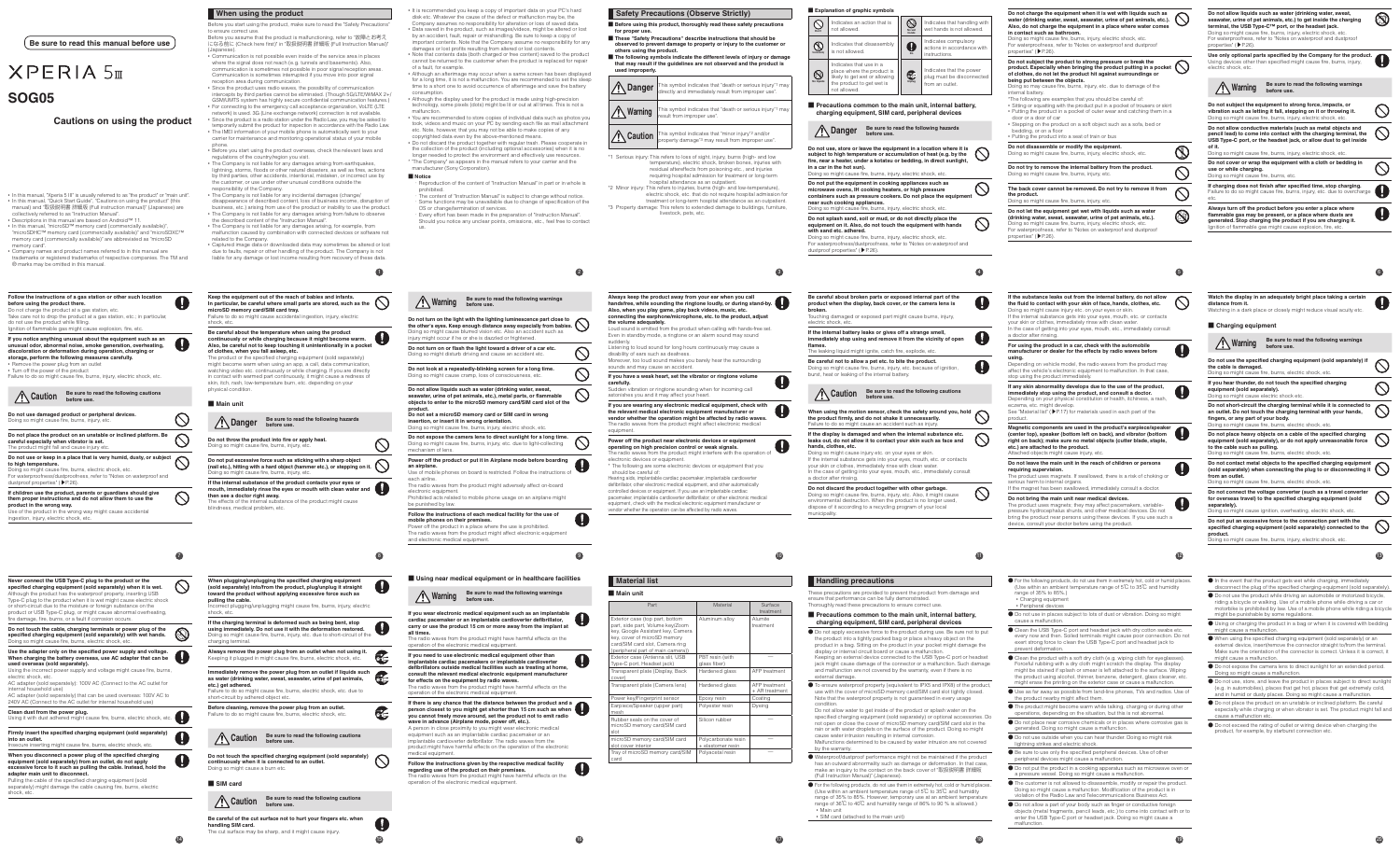# **XPERIA 5m SOG05**

### **Cautions on using the product**

**Be sure to read this manual before use**

• In this manual, "Xperia 5 III" is usually referred to as "the product" or "main unit".<br>• In this manual, "Quick Start Guide", "Cautions on using the product" (this<br> manual) and "取扱説明書 詳細版 (Full instruction manual)" (Ja collectively referred to as "Instruction Manual".

• Descriptions in this manual are based on Android™ 11. • In this manual, "microSD™ memory card (commercially available)",<br>"microSDHC™ memory card (commercially available)" and "microSDXC™<br>memory card (commercially available)" are abbreviated as "microSD memory card".

• Company names and product names referred to in this manual are trademarks or registered trademarks of respective companies. The TM and ® marks may be omitted in this manual.

**adapter main unit to disconnect.** Pulling the cable of the specified charging equipment (sold separately) might damage the cable causing fire, burns, electric shock, etc.

**14**

intercepts by third parties cannot be eliminated. (Though 5G/LTE/WiMAX 2+/ GSM/UMTS system has highly secure confidential communication features.) • For connecting to the emergency call acceptance organization, VoLTE (LTE<br>network) is used. 3G (Line exchange network) connection is not available.<br>• Since the product is a radio station under the Radio Law, you may be a emporarily submit the product for inspection in accordance with the Radio Law.

| specified charging equipment (sold separately) with wet hands.<br>Doing so might cause fire, burns, electric shock, etc.                                                                                                                                                                                                                                                                                                                                                                                        |  |
|-----------------------------------------------------------------------------------------------------------------------------------------------------------------------------------------------------------------------------------------------------------------------------------------------------------------------------------------------------------------------------------------------------------------------------------------------------------------------------------------------------------------|--|
| Use the adapter only on the specified power supply and voltage.<br>When charging the battery overseas, use AC adapter that can be<br>used overseas (sold separately).<br>Using the incorrect power supply and voltage might cause fire, burns,<br>electric shock, etc.<br>AC adapter (sold separately): 100V AC (Connect to the AC outlet for<br>internal household use)<br>AC adapter (sold separately) that can be used overseas: 100V AC to<br>240V AC (Connect to the AC outlet for internal household use) |  |
| Clean dust from the power plug.<br>Using it with dust adhered might cause fire, burns, electric shock, etc.                                                                                                                                                                                                                                                                                                                                                                                                     |  |
| Firmly insert the specified charging equipment (sold separately)<br>into an outlet.<br>Insecure inserting might cause fire, burns, electric shock, etc.                                                                                                                                                                                                                                                                                                                                                         |  |
| When you disconnect a power plug of the specified charging<br>equipment (sold separately) from an outlet, do not apply<br>excessive force to it such as pulling the cable. Instead, hold the                                                                                                                                                                                                                                                                                                                    |  |

Q **15**

**1**

**When using the product**

Before you start using the product, make sure to read the "Safety Precautions" to ensure correct use Before you assume that the product is malfunctioning, refer to "故障とお考え になる前に (Check here first)" in "取扱説明書 詳細版 (Full Instruction Manual)" (Japanese). • Communication is not possible even inside of the service area in places

where the signal does not reach (e.g. tunnels and basements). Also, communication is sometimes not possible in poor signal reception areas. Communication is sometimes interrupted if you move into poor signal reception area during communication. • Since the product uses radio waves, the possibility of communication

| Follow the instructions of a gas station or other such location<br>before using the product there.<br>Do not charge the product at a gas station, etc.<br>Take care not to drop the product at a gas station, etc.; in particular,<br>do not use the product while filling.<br>Ignition of flammable gas might cause explosion, fire, etc.                                                                                                                                            |                       | Keep the equipment out of the reach of babies and infants.<br>In particular, be careful where small parts are stored, such as the<br>microSD memory card/SIM card tray.<br>Failure to do so might cause accidental ingestion, injury, electric<br>shock, etc.                                                                                                                                                                                                                                                                                                                                                                   |                   |  |
|---------------------------------------------------------------------------------------------------------------------------------------------------------------------------------------------------------------------------------------------------------------------------------------------------------------------------------------------------------------------------------------------------------------------------------------------------------------------------------------|-----------------------|---------------------------------------------------------------------------------------------------------------------------------------------------------------------------------------------------------------------------------------------------------------------------------------------------------------------------------------------------------------------------------------------------------------------------------------------------------------------------------------------------------------------------------------------------------------------------------------------------------------------------------|-------------------|--|
| If you notice anything unusual about the equipment such as an<br>unusual odor, abnormal noise, smoke generation, overheating,<br>discoloration or deformation during operation, charging or<br>storage, perform the following measures carefully.<br>• Remove the power plug from an outlet<br>• Turn off the power of the product<br>Failure to do so might cause fire, burns, injury, electric shock, etc.<br>Be sure to read the following cautions<br><b><sup>1</sup> Caution</b> |                       | Be careful about the temperature when using the product<br>continuously or while charging because it might become warm.<br>Also, be careful not to keep touching it unintentionally in a pocket<br>of clothes, when you fall asleep, etc.<br>The product or the specified charging equipment (sold separately)<br>might become warm when using an app, a call, data communication,<br>watching video etc. continuously or while charging. If you are directly<br>in contact with warmed part continuously, it might cause a redness of<br>skin, itch, rash, low-temperature burn, etc. depending on your<br>physical condition. |                   |  |
| before use.                                                                                                                                                                                                                                                                                                                                                                                                                                                                           |                       | Main unit                                                                                                                                                                                                                                                                                                                                                                                                                                                                                                                                                                                                                       |                   |  |
| Do not use damaged product or peripheral devices.<br>Doing so might cause fire, burns, injury, etc.                                                                                                                                                                                                                                                                                                                                                                                   |                       | Be sure to read the following hazards<br><sup>1</sup> Danger<br>before use.                                                                                                                                                                                                                                                                                                                                                                                                                                                                                                                                                     |                   |  |
| Do not place the product on an unstable or inclined platform. Be<br>careful especially when vibrator is set.<br>The product might fall and cause injury etc.                                                                                                                                                                                                                                                                                                                          |                       | Do not throw the product into fire or apply heat.<br>Doing so might cause fire, burns, injury, etc.                                                                                                                                                                                                                                                                                                                                                                                                                                                                                                                             |                   |  |
| Do not use or keep in a place that is very humid, dusty, or subject<br>to high temperature.<br>Doing so might cause fire, burns, electric shock, etc.<br>For waterproofness/dustproofness, refer to "Notes on waterproof and                                                                                                                                                                                                                                                          |                       | Do not put excessive force such as sticking with a sharp object<br>(nail etc.), hitting with a hard object (hammer etc.), or stepping on it.<br>Doing so might cause fire, burns, injury, etc.                                                                                                                                                                                                                                                                                                                                                                                                                                  |                   |  |
| dustproof properties" (▶P.26).<br>If children use the product, parents or guardians should give<br>them proper instructions and do not allow them to use the<br>product in the wrong way.<br>Use of the product in the wrong way might cause accidental<br>ingestion, injury, electric shock, etc.                                                                                                                                                                                    |                       | If the internal substance of the product contacts your eyes or<br>mouth, immediately rinse the eyes or mouth with clean water and<br>then see a doctor right away.<br>The effects of the internal substance of the product might cause<br>blindness, medical problem, etc.                                                                                                                                                                                                                                                                                                                                                      |                   |  |
|                                                                                                                                                                                                                                                                                                                                                                                                                                                                                       | $\boldsymbol{\sigma}$ |                                                                                                                                                                                                                                                                                                                                                                                                                                                                                                                                                                                                                                 | $\left( 3\right)$ |  |
| Never connect the USB Type-C plug to the product or the<br>specified charging equipment (sold separately) when it is wet.<br>Although the product has the waterproof property, inserting USB<br>Type-C plug to the product when it is wet might cause electric shock<br>or short-circuit due to the moisture or foreign substance on the<br>product or USB Type-C plug, or might cause abnormal overheating,                                                                          |                       | When plugging/unplugging the specified charging equipment<br>(sold separately) into/from the product, plug/unplug it straight<br>toward the product without applying excessive force such as<br>pulling the cable.<br>Incorrect plugging/unplugging might cause fire, burns, injury, electric<br>shock, etc.                                                                                                                                                                                                                                                                                                                    |                   |  |
| fire damage, fire, burns, or a fault if corrosion occurs.<br>Do not touch the cable, charging terminals or power plug of the<br>specified charging equipment (sold separately) with wet hands.                                                                                                                                                                                                                                                                                        | <b>QO</b>             | If the charging terminal is deformed such as being bent, stop<br>using immediately. Do not use it with the deformation restored.<br>Doing so might cause fire, burns, injury, etc. due to short-circuit of the                                                                                                                                                                                                                                                                                                                                                                                                                  |                   |  |

technology, some pixels (dots) might be lit or out at all times. This is not a malfunction. • You are recommended to store copies of individual data such as photos you took, videos and music on your PC by sending each file as mail attachment

• The IMEI information of your mobile phone is automatically sent to your carrier for maintenance and monitoring operational status of your mobile phone. • Before you start using the product overseas, check the relevant laws and

> ■ **Notice** Reproduction of the content of "Instruction Manual" in part or in whole is

Should you notice any unclear points, omissions, etc., feel free to contact that the preparations. us.

- regulations of the country/region you visit.
- The Company is not liable for any damages arising from earthquakes,<br>lightning, storms, floods or other natural disasters, as well as fires, actions<br>by third parties, other accidents, intentional, mistaken, or incorrect u the customer, or use under other unusual conditions outside the sponsibility of the Company.
- The Company is not liable for any incidental damages (change/ disappearance of described content, loss of business income, disruption of business, etc.) arising from use of the product or inability to use the product.
- The Company is not liable for any damages arising from failure to observe the described content of the "Instruction Manual".
- The Company is not liable for any damages arising, for example, from malfunction caused by combination with connected devices or software not related to the Company.

 $\circ$ Doing so might cause fire, burns, injury, etc. due to light-collecting mechanism of lens.

• Captured image data or downloaded data may sometimes be altered or lost due to faults, repair or other handling of the product. The Company is not liable for any damage or lost income resulting from recovery of these data.

E

C

**G** 

mobile phones on their pr Power off the product in a place where the use is prohibited. The radio waves from the product might affect electronic equipment and electronic medical equipment.

### ■ Using near medical equipment or in healthcare facilities

charging termina

 $\mathbf 0$ **cardiac pacemaker or an implantable cardioverter defibrillator, carry or use the product 15 cm or more away from the implant at all times.** The radio waves from the product might have harmful effects on the

**implantable cardiac pacemakers or implantable cardioverter defibrillators outside medical facilities such as treating at home, consult the relevant medical electronic equipment manufacture** 

product might have harmful effects on the operation of the electronic edical equipment.

■ **Before using this product, thoroughly read these safety precautions for proper use.**

- These "Safety Precautions" describe instructions that should be rved to prevent damage to property or injury to the custo
- **others using the product. The following symbols indicate the different levels of injury or damage that may result if the guidelines are not observed and the product is used improperly.**

**Caution** This symbol indicates that "minor injury"<sup>2</sup> and/or<br>property damage<sup>+3</sup> may result from improper use". \*1 Serious injury: This refers to loss of sight, injury, burns (high- and low temperature), electric shock, broken bones, injuries with

Louis Countries and Theory ... Even in standby mode, a ringtone or an alarm sound may sound

**Always remove the power plug from an outlet when not using it.** Keeping it plugged in might cause fire, burns, electric shock, etc. **Immediately remove the power plug from an outlet if liquids such as water (drinking water, sweat, seawater, urine of pet animals,** 

to do so might cause fire, burns, electric shock, etc. due to

**Power off the product near electronic devices or equipment operating on high precision control or weak signals.**<br>The radio waves from the product might interfere with the operation of<br>electronic devices or equipment. The following are some electronic devices or equipment that you

**etc.) get adhered.**

**Before cleaning, remove the power plug from an outlet.** Failure to do so might cause fire, burns, electric shock, etc.

**Caution Be sure to read the following cautions before use.**

**Do not touch the specified charging equipment (sold separately) continuously when it is connected to an outlet.**

■ **SIM card**

**Caution Be sure to read the following cautions before use.**

**Be careful of the cut surface not to hurt your fingers etc. when** 

**handling SIM card.**

short-circuit by adhered object etc.

ommeder, men it is commed<br>loing so might cause a burn etc.

The cut surface may be sharp, and it might cause injury.

**2**

 $\circledcirc$ 

 $\mathcal{O}$ 

 $\circ$ 

- It is recommended you keep a copy of important data on your PC's hard disk etc. Whatever the cause of the defect or malfunction may be, the Company assumes no responsibility for alteration or loss of saved data.
- Data saved in the product, such as images/videos, might be altered or lost by an accident, fault, repair or mishandling. Be sure to keep a copy of it, iddit, repair of mishahaning. Bo care to hoop a oppy of tents. Note that the Company assume no responsibility for any damages or lost profits resulting from altered or lost contents. • Note that contents data (both charged or free content) saved to the product

cannot be returned to the customer when the product is replaced for repair of a fault, for example. • Although an afterimage may occur when a same screen has been displayed

for a long time, it is not a malfunction. You are recommended to set the sleep time to a short one to avoid occurrence of afterimage and save the battery consumption. • Although the display used for the product is made using high-precision

etc. Note, however, that you may not be able to make copies of any copyrighted data even by the above-mentioned means.

Doing so might cause injury etc. on your eyes or skin.<br>If the internal substance gets into your eyes, mouth, etc. or contacts<br>your skin or clothes, immediately rinse with clean water. In the case of getting into your eyes, mouth, etc., immediately consult a doctor after rinsing.

• Do not discard the product together with regular trash. Please cooperate in the collection of the product (including optional accessories) when it is no longer needed to protect the environment and effectively use resources. \* "The Company" as appears in the manual refers to your carrier and the manufacturer (Sony Corporation).

prohibited. ・ The content of "Instruction Manual" is subject to change without notice. Some functions may be unavailable due to change of specification of the OS or change/termination of services. ・ Every effort has been made in the preparation of "Instruction Manual".

> ardened glass | AFP treatment  $T$ ansparent plate (Camera lens) Hardened glass  $A$  AFP treatment external damage.

● To ensure waterproof property (equivalent to IPX5 and IPX8) of the product, use with the cover of microSD memory card/SIM card slot tightly closed. Note that the waterproof property is not guaranteed in every usage condition. Do not allow water to get inside of the product or splash water on the specified charging equipment (sold separately) or optional accessories. Do<br>not open or close the cover of microSD memory card/SIM card slot in the<br>rain or with water droplets on the surface of the product. Doing so might cause water intrusion resulting in internal corro

**9**

 $\mathbf 0$ 

### **Safety Precautions (Observe Strictly)**

**Warning Be sure to read the following warnings before use.**

**Do not turn on the light with the lighting luminescence part close to**<br>the other's eyes. Keep enough distance away especially from babies.<br>Doing so might cause blurred vision etc. Also an accident such as

injury might occur if he or she is dazzled or frightened. **Do not turn on or flash the light toward a driver of a car etc.** Doing so might disturb driving and cause an accident etc.

> ● For the following products, do not use them in extremely hot, cold or humid places (Use of name products), to not doe them in extremely not, cold of name ple range of 35% to 85%. However, temporary use at an ambient temperature range of 36℃ to 40℃ and humidity range of 86% to 90 % is allowed.)

**Do not charge the equipment when it is wet with liquids such as water (drinking water, sweat, seawater, urine of pet animals, etc.). Also, do not charge the equipment in a place where water comes in contact such as bathroom.** org so might cause fire, burns, injury, electric shock, etc. For waterproofness, refer to "Notes on waterproof and dustproof properties" (▶P.26). **Do not subject the product to strong pressure or break the product. Especially when bringing the product putting in a pocket of clothes, do not let the product hit against surroundings or being put between the objects.** ng so may cause fire, burns, injury, etc. due to damage of the internal battery. \*The following are examples that you should be careful of: • Sitting or squatting with the product put in a pocket of trousers or skirt • Putting the product in a pocket of outer wear and catching them in a door or a door of car • Stepping on the product on a soft object such as a sofa, bed or bedding, or on a floor • Putting the product into a seat of train or bus **Do not disassemble or modify the equipment.** Doing so might cause fire, burns, injury, electric shock, etc. **Do not try to remove the internal battery from the product.**  $\mathcal{O}$ Doing so might cause fire, burns, injury, etc. **The back cover cannot be removed. Do not try to remove it from**   $\circledcirc$ **the product.** Doing so might cause fire, burns, injury, etc. **Do not let the equipment get wet with liquids such as water**   $\circledS$ **(drinking water, sweat, seawater, urine of pet animals, etc.).** Doing so might cause fire, burns, injury, electric shock, etc. ess, refer to "Notes on waterproof and dustproof properties" (▶P.26). **5 If the substance leaks out from the internal battery, do not allow**   $\circ$ **the fluid to contact with your skin of face, hands, clothes, etc.** Doing so might cause injury etc. on your eyes or skin. If the internal substance gets into your eyes, mouth, etc. or contacts your skin or clothes, immediately rinse with clean water. In the case of getting into your eyes, mouth, etc., immediately consult a doctor after rinsing. **For using the product in a car, check with the automobile**   $\mathbf \Omega$ **manufacturer or dealer for the effects by radio waves before using.** Depending on vehicle model, the radio waves from the product may affect the vehicle's electronic equipment to malfunction. In that case, stop using the product immediately. **If any skin abnormality develops due to the use of the product,**   $\Omega$ 

**Do not look at a repeatedly-blinking screen for a long time.** Doing so might cause cramp, loss of consciousness, etc. **Do not allow liquids such as water (drinking water, sweat, seawater, urine of pet animals, etc.), metal parts, or flammable objects to enter to the microSD memory card/SIM card slot of the** 

**product. Do not set a microSD memory card or SIM card in wrong insertion, or insert it in wrong orientation.**

Doing so might cause fire, burns, injury, electric shock, etc. **Do not expose the camera lens to direct sunlight for a long time.**

# **Power off the product or put it in Airplane mode before boarding an airplane.**

Use of mobile phones on board is restricted. Follow the instructions of

each airline. The radio waves from the product might adversely affect on-board electronic equipment.

be punished by law **Follow the instructions of** 

Prohibited acts related to mobile phone usage on an airplane might

**16**

 $\mathbf 0$ 

**Warning Be sure to read the following warnings before use.**

**Magnetic components are used in the product's earpiece/speaker (center top), speaker (bottom left on back), and vibrator (bottom right on back); make sure no metal objects (cutter blade, staple,**   $\mathbf 0$ **etc.) are attached to the product.** hed objects might cause injury, et

**If you wear electronic medical equipment such as an implantable** 

operation of the electronic medical equipment.

**If you need to use electronic medical equipment other than** 

• Charging equipmen • Peripheral devices

● Do not use in places subject to lots of dust or vibration. Doing so might cause a malfunction.

**for effects on the equipment by radio waves.** The radio waves from the product might have harmful effects on the

operation of the electronic medical equipment.

**If there is any chance that the distance between the product and a person closest to you might get shorter than 15 cm such as when** 

**you cannot freely move around, set the product not to emit radio wave in advance (Airplane mode, power off, etc.).**

A person in close proximity to you might wear electronic medical equipment such as an implantable cardiac pacemaker or an implantable cardioverter defibrillator. The radio waves from the

**regarding use of the product on their premises.**

**Follow the instructions given by the respective medical facility**  The radio waves from the product might have harmful effects on the operation of the electronic medical equipment.

- Clean the USB Type-C port and headset jack with dry cotton swabs etc. every now and then. Soiled terminals might cause poor connection. Do not exert strong force to clean the USB Type-C port and headset jack to prevent deformation.
- Clean the product with a soft dry cloth (e.g. wiping cloth for eyeglasses).<br>Forceful rubbing with a dry cloth might scratch the display. The display might be stained if splash or smear is left attached to the surface. Wiping the product using alcohol, thinner, benzene, detergent, glass cleaner, etc. might erase the printing on the exterior case or cause a malfunction.
- Use as far away as possible from land-line phones, TVs and radios. Use of the product nearby might affect them.
- The product might become warm while talking, charging or during other operations, depending on the situation, but this is not abnormal. ● Do not place near corrosive chemicals or in places where corrosive gas is
- ated. Doing so might cause a malfunction
- Do not use outside when you can hear thunder. Doing so might risk lightning strikes and electric shock.
- Be sure to use only the specified peripheral devices. Use of other peripheral devices might cause a malfunction.
- Do not put the product in a cooking apparatus such as microwave oven or a pressure vessel. Doing so might cause a malfunction.
- The customer is not allowed to disassemble, modify or repair the product. Doing so might cause a malfunction. Modification of the product is in violation of the Radio Law and Telecommunications Business Act.
- Do not allow a part of your body such as finger or conductive foreign objects (metal fragments, pencil leads, etc.) to come into contact with or to enter the USB Type-C port or headset jack. Doing so might cause a malfunction.

**Do not allow liquids such as water (drinking water, sweat, seawater, urine of pet animals, etc.) to get inside the charging terminal, the USB Type-C™ port, or the headset jack.** oing so might cause fire, burns, injury, electric shock

For waterproofness, refer to "Notes on waterproof and dustproof<br>properties" ( $\blacktriangleright$  P.26). properties" (▶P.26).

**3**

**Use only optional parts specified by the Company for the product.** Using devices other than specified might cause fire, burns, injury, Using devices othe<br>electric shock, etc.



Doing so might cause fire, burns, injury, electric shock, et **Do not cover or wrap the equipment with a cloth or bedding in** 

| <b>A</b> Danger  | This symbol indicates that "death or serious injury" may directly and immediately result from improper use". |
|------------------|--------------------------------------------------------------------------------------------------------------|
| <b>X</b> Warning | This symbol indicates that "death or serious injury*1 may<br>result from improper use".                      |
|                  |                                                                                                              |

**Always turn off the product before you enter a place where flammable gas may be present, or a place where dusts are generated. Stop charging the product if you are charging it.** gnition of flammable gas might cause explosion, fire, et

residual aftereffects from poisoning etc., and injuries requiring hospital admission for treatment or long-term hospital attendance as an outpatient. \*2 Minor injury: This refers to injuries, burns (high- and low-temperature),

electric shock, etc. that do not require hospital admission for treatment or long-term hospital attendance as an outpatient. \*3 Property damage: This refers to extended damage to buildings, furniture, livestock, pets, etc.

**10**

 $\mathbf 0$ 

**Always keep the product away from your ear when you call handsfree, while sounding the ringtone loudly, or during stand-by. Also, when you play game, play back videos, music, etc.**

- In the event that the product gets wet while charging, immediately disconnect the plug of the specified charging equipment (sold separately).
- Do not use the product while driving an automobile or motorized bicycle, riding a bicycle or walking. Use of a mobile phone while driving a car or motorbike is prohibited by law. Use of a mobile phone while riding a bicycle might be punishable by some regulations.
- Using or charging the product in a bag or when it is covered with bedding might cause a malfunction.
- When using the specified charging equipment (sold separately) or an external device, insert/remove the connector straight to/from the terminal. Make sure the orientation of the connector is correct. Unless it is correct, it might cause a malfunction.
- Do not expose the camera lens to direct sunlight for an extended period. Doing so might cause a malfunction.
- Do not use, store, and leave the product in places subject to direct sunlight (e.g. in automobiles), places that get hot, places that get extremely cold, and in humid or dusty places. Doing so might cause a malfunction.
- Do not place the product on an unstable or inclined platform. Be careful especially while charging or when vibrator is set. The product might fall and cause a malfunction etc.
- Do not exceed the rating of outlet or wiring device when charging the uct, for example, by starburst conn

**connecting the earphone/microphone, etc. to the product, adjust** 

**the volume adequately.**

suddenly.

Listening to loud sound for long hours continuously may cause a disability of ears such as deafness. Moreover, too loud sound makes you barely hear the surrounding

sounds and may cause an accident.

**If you have a weak heart, set the vibrator or ringtone volume** 

**Examy:**<br>Idden vibration or ringtone sounding when for incoming call

**carefully.**

astonishes you and it may affect your heart.

ne radio waves from the product might affect ele

**If you are wearing any electronic medical equipment, check with the relevant medical electronic equipment manufacturer or vendor whether the operation might be affected by radio waves.**

equipment.

should be careful of:

**Material list** ■ Main unit

> terior case (top part, bottom art, side part, Volume key/Zoo ky, Google Assistant key, Camer  $k$  cover of microSD m card/SIM card slot, Camera ring eripheral part of main camer

or case (Antenna slit, USB ype-C port, Headset jack)

(upper part)

ansparent plate (Display, Back)

ubber seals on the cover of croSD memory card/SIM card

lot cover interior

croSD memory card/SIM card

ray of microSD memory card/SIN

Hearing aids, implantable cardiac pacemaker, implantable cardioverter defibrillator, other electronic medical equipment, and other automatically controlled devices or equipment. If you use an implantable cardiac pacemaker, implantable cardioverter defibrillator, or other electronic medical



Part Material

Power key/Fingerprint sensor | Epoxy resin | Coating

| each medical facility for the use<br>emises.<br>lace where the use is prohibited.<br>oduct might affect electronic equip<br>ipment. |  |  |
|-------------------------------------------------------------------------------------------------------------------------------------|--|--|
|                                                                                                                                     |  |  |

**17**

treatment

Aluminum alloy Alumite

Polyester resin | Dyeing

on rubbe

olvcarbonate re elastomer resii

olyacetal resin

treatment

PBT resin (with glass fiber) ―

AR treatme

cover)

mesh

slot

―

card

**Don't** 

 $\circledR$ 

 $\circ$ 

 $\circledcirc$ 



**with sand etc. adhered.**

**broken.**

electric shock, etc.





### $\bf{1}$

**hands, clothes, etc.**

**Do not discard the product together with other garbage.** Doing so might cause fire, burns, injury, etc. Also, it might cause ental destruction. When the product is no lo dispose of it according to a recycling program of your local municipality.

ese precautions are provided to prevent the product from damage and ensure that performance can be fully demonstrate oughly read these precautions to ensure correct use.

- 
- 
- 
- 

### **Handling precautions**

### ■ **Precautions common to the main unit, internal battery,**

**charging equipment, SIM card, peripheral devices**

● Do not apply excessive force to the product during use. Be sure not to put the product into a tightly packed bag or place a heavy object on the product in a bag. Sitting on the product in your pocket might damage the display or internal circuit board or cause a malfunction.

Keeping an external device connected to the USB Type-C port or headset jack might cause damage of the connector or a malfunction. Such damage and malfunction are not covered by the warranty, even if there is no

Malfunctions determined to be caused by water intrusion are not covered by the warranty. ● Waterproof/dustproof performance might not be maintained if the product has an outward abnormality such as damage or deformation. In that case, make an inquiry to the contact on the back cover of "取扱説明書 詳細版 (Full Instruction Manual)" (Japanese).

• Main unit • SIM card (attached to the main unit) **12**

 $\mathbf \Omega$ 

**immediately stop using the product, and consult a doctor.** Depending on your physical constitution or health, itchiness, a rash, eczema, etc. might develop. See "Material list" (▶P. 17) for materials used in each part of the

product.

**Do not leave the main unit in the reach of children or persons requiring supervision.** The product uses magnets. If swallowed, there is a risk of choking or

serious harm to internal organs. If the magnet has been swallowed, immediately consult a doctor.

**Do not bring the main unit near medical devices.**

 $\bullet$ The product uses magnets; they may affect pacemakers, variable-pressure hydrocephalus shunts, and other medical devices. Do not bring the product near persons using these devices. If you use such a ice, consult your doctor before using the product.

**19**

● For the following products, do not use them in extremely hot, cold or humid places. (Use within an ambient temperature range of 5℃ to 35℃ and humidity range of 35% to 85%.)

**6**



 $\circledS$ 

 $\circledcirc$ 

 $\circ$ 

 $\circledcirc$ 

 $\mathbf 0$ 

**Do not subject the equipment to strong force, impacts, or vibration such as letting it fall, stepping on it or throwing it.** Doing so might cause fire, burns, injury, electric shock, etc.

**Do not allow conductive materials (such as metal objects and pencil lead) to come into contact with the charging terminal, the USB Type-C port, or the headset jack, or allow dust to get inside of it.**

**use or while charging.**

Doing so might cause fire, burns, etc.

**If charging does not finish after specified time, stop charging.**<br>Failure to do so might cause fire, burns, injury, etc. due to overcharge<br>etc.

**Watch the display in an adequately bright place taking a certain**   $\bullet$ **distance from it.** Watching in a dark place or closely might reduce visual acuity etc.

■ **Charging equipment** 

| Be sure to read the following warnings<br>Varning<br>before use.                                                                                                                                                                      |    |
|---------------------------------------------------------------------------------------------------------------------------------------------------------------------------------------------------------------------------------------|----|
| Do not use the specified charging equipment (sold separately) if<br>the cable is damaged.<br>Doing so might cause fire, burns, electric shock, etc.                                                                                   |    |
| If you hear thunder, do not touch the specified charging<br>equipment (sold separately).<br>Doing so might cause electric shock etc.                                                                                                  |    |
| Do not short-circuit the charging terminal while it is connected to<br>an outlet. Do not touch the charging terminal with your hands,<br>fingers, or any part of your body.<br>Doing so might cause fire, burns, electric shock, etc. |    |
| Do not place heavy objects on a cable of the specified charging<br>equipment (sold separately), or do not apply unreasonable force<br>to the cable such as pulling.<br>Doing so might cause fire, burns, electric shock, etc.         |    |
| Do not contact metal objects to the specified charging equipment<br>(sold separately) when connecting the plug to or disconnecting it<br>from an outlet.<br>Doing so might cause fire, burns, electric shock, etc.                    |    |
| Do not connect the voltage converter (such as a travel converter<br>for overseas travel) to the specified charging equipment (sold<br>separately).<br>Doing so might cause ignition, overheating, electric shock, etc.                |    |
| Do not put an excessive force to the connection part with the<br>specified charging equipment (sold separately) connected to the<br>product.<br>Doing so might cause fire, burns, injury, electric shock, etc.                        |    |
|                                                                                                                                                                                                                                       | 13 |